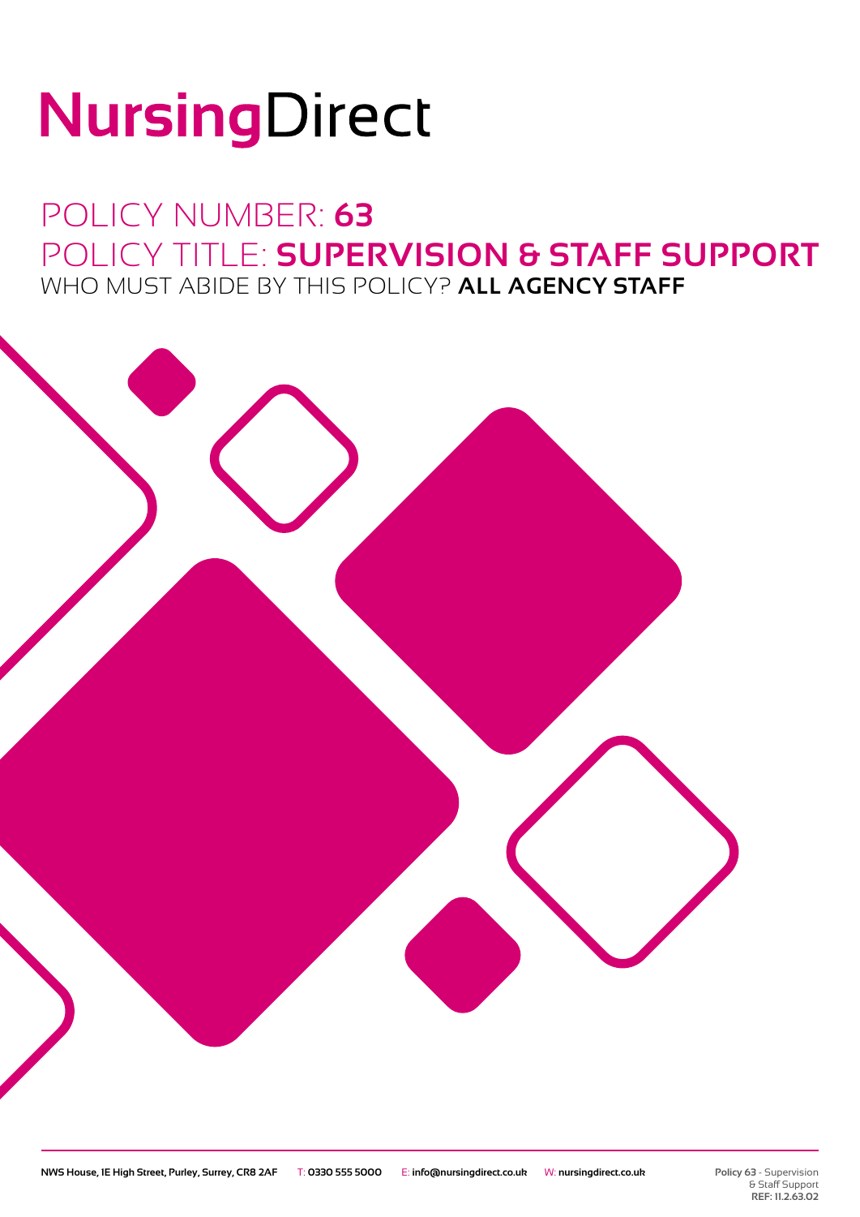# NursingDirect

### POLICY NUMBER: **63** POLICY TITLE: **SUPERVISION & STAFF SUPPORT** WHO MUST ABIDE BY THIS POLICY? **ALL AGENCY STAFF**